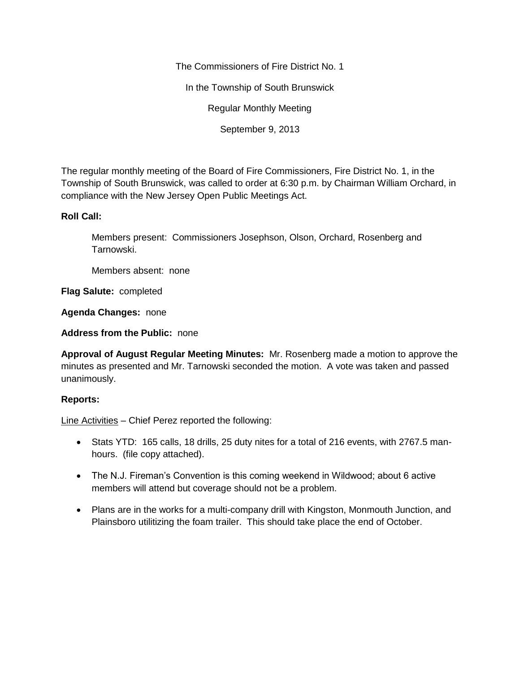The Commissioners of Fire District No. 1

In the Township of South Brunswick

Regular Monthly Meeting

September 9, 2013

The regular monthly meeting of the Board of Fire Commissioners, Fire District No. 1, in the Township of South Brunswick, was called to order at 6:30 p.m. by Chairman William Orchard, in compliance with the New Jersey Open Public Meetings Act.

## **Roll Call:**

Members present: Commissioners Josephson, Olson, Orchard, Rosenberg and Tarnowski.

Members absent: none

**Flag Salute:** completed

**Agenda Changes:** none

**Address from the Public:** none

**Approval of August Regular Meeting Minutes:** Mr. Rosenberg made a motion to approve the minutes as presented and Mr. Tarnowski seconded the motion. A vote was taken and passed unanimously.

## **Reports:**

Line Activities – Chief Perez reported the following:

- Stats YTD: 165 calls, 18 drills, 25 duty nites for a total of 216 events, with 2767.5 manhours. (file copy attached).
- The N.J. Fireman's Convention is this coming weekend in Wildwood; about 6 active members will attend but coverage should not be a problem.
- Plans are in the works for a multi-company drill with Kingston, Monmouth Junction, and Plainsboro utilitizing the foam trailer. This should take place the end of October.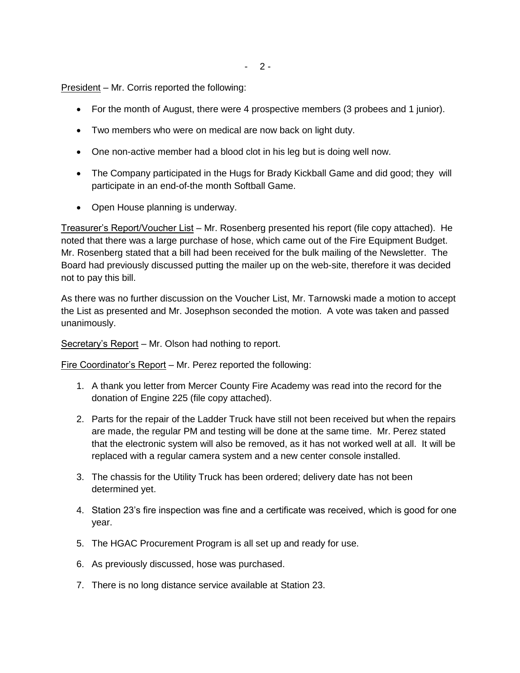$- 2 -$ 

President – Mr. Corris reported the following:

- For the month of August, there were 4 prospective members (3 probees and 1 junior).
- Two members who were on medical are now back on light duty.
- One non-active member had a blood clot in his leg but is doing well now.
- The Company participated in the Hugs for Brady Kickball Game and did good; they will participate in an end-of-the month Softball Game.
- Open House planning is underway.

Treasurer's Report/Voucher List – Mr. Rosenberg presented his report (file copy attached). He noted that there was a large purchase of hose, which came out of the Fire Equipment Budget. Mr. Rosenberg stated that a bill had been received for the bulk mailing of the Newsletter. The Board had previously discussed putting the mailer up on the web-site, therefore it was decided not to pay this bill.

As there was no further discussion on the Voucher List, Mr. Tarnowski made a motion to accept the List as presented and Mr. Josephson seconded the motion. A vote was taken and passed unanimously.

Secretary's Report - Mr. Olson had nothing to report.

Fire Coordinator's Report – Mr. Perez reported the following:

- 1. A thank you letter from Mercer County Fire Academy was read into the record for the donation of Engine 225 (file copy attached).
- 2. Parts for the repair of the Ladder Truck have still not been received but when the repairs are made, the regular PM and testing will be done at the same time. Mr. Perez stated that the electronic system will also be removed, as it has not worked well at all. It will be replaced with a regular camera system and a new center console installed.
- 3. The chassis for the Utility Truck has been ordered; delivery date has not been determined yet.
- 4. Station 23's fire inspection was fine and a certificate was received, which is good for one year.
- 5. The HGAC Procurement Program is all set up and ready for use.
- 6. As previously discussed, hose was purchased.
- 7. There is no long distance service available at Station 23.